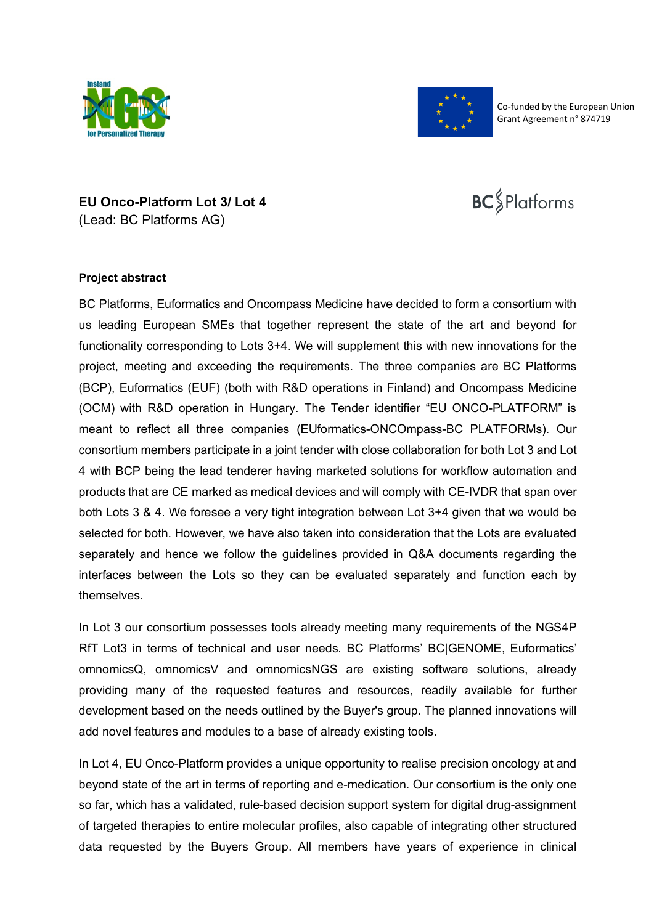



Co-funded by the European Union Grant Agreement n° 874719

## **EU Onco-Platform Lot 3/ Lot 4**  (Lead: BC Platforms AG)

## **BC** Platforms

## **Project abstract**

BC Platforms, Euformatics and Oncompass Medicine have decided to form a consortium with us leading European SMEs that together represent the state of the art and beyond for functionality corresponding to Lots 3+4. We will supplement this with new innovations for the project, meeting and exceeding the requirements. The three companies are BC Platforms (BCP), Euformatics (EUF) (both with R&D operations in Finland) and Oncompass Medicine (OCM) with R&D operation in Hungary. The Tender identifier "EU ONCO-PLATFORM" is meant to reflect all three companies (EUformatics-ONCOmpass-BC PLATFORMs). Our consortium members participate in a joint tender with close collaboration for both Lot 3 and Lot 4 with BCP being the lead tenderer having marketed solutions for workflow automation and products that are CE marked as medical devices and will comply with CE-IVDR that span over both Lots 3 & 4. We foresee a very tight integration between Lot 3+4 given that we would be selected for both. However, we have also taken into consideration that the Lots are evaluated separately and hence we follow the guidelines provided in Q&A documents regarding the interfaces between the Lots so they can be evaluated separately and function each by themselves.

In Lot 3 our consortium possesses tools already meeting many requirements of the NGS4P RfT Lot3 in terms of technical and user needs. BC Platforms' BC|GENOME, Euformatics' omnomicsQ, omnomicsV and omnomicsNGS are existing software solutions, already providing many of the requested features and resources, readily available for further development based on the needs outlined by the Buyer's group. The planned innovations will add novel features and modules to a base of already existing tools.

In Lot 4, EU Onco-Platform provides a unique opportunity to realise precision oncology at and beyond state of the art in terms of reporting and e-medication. Our consortium is the only one so far, which has a validated, rule-based decision support system for digital drug-assignment of targeted therapies to entire molecular profiles, also capable of integrating other structured data requested by the Buyers Group. All members have years of experience in clinical